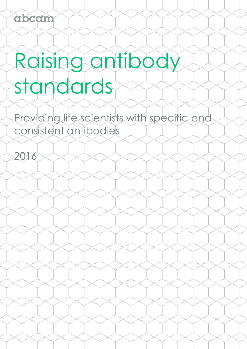2016

# Raising antibody standards

Providing life scientists with specific and consistent antibodies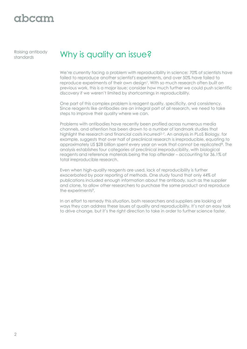Raising antibody

### Raising antibody Why is quality an issue?

We're currently facing a problem with reproducibility in science: 70% of scientists have failed to reproduce another scientist's experiments, and over 50% have failed to reproduce experiments of their own design<sup>1</sup>. With so much research often built on previous work, this is a major issue; consider how much further we could push scientific discovery if we weren't limited by shortcomings in reproducibility.

One part of this complex problem is reagent quality, specificity, and consistency. Since reagents like antibodies are an integral part of all research, we need to take steps to improve their quality where we can.

Problems with antibodies have recently been profiled across numerous media channels, and attention has been drawn to a number of landmark studies that highlight the research and financial costs incurred<sup>2-7</sup>. An analysis in PLoS Biology, for example, suggests that over half of preclinical research is irreproducible, equating to approximately US \$28 billion spent every year on work that cannot be replicated<sup>8</sup>. The analysis establishes four categories of preclinical irreproducibility, with biological reagents and reference materials being the top offender – accounting for 36.1% of total irreproducible research.

Even when high-quality reagents are used, lack of reproducibility is further exacerbated by poor reporting of methods. One study found that only 44% of publications included enough information about the antibody, such as the supplier and clone, to allow other researchers to purchase the same product and reproduce the experiments<sup>9</sup>.

In an effort to remedy this situation, both researchers and suppliers are looking at ways they can address these issues of quality and reproducibility. It's not an easy task to drive change, but it's the right direction to take in order to further science faster.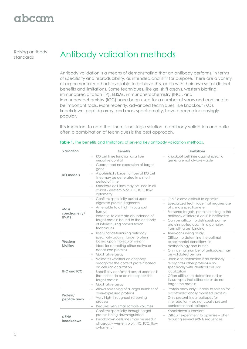Raising antibody

### Raising antibody<br> **Standards**<br> **Antibody validation methods**

Antibody validation is a means of demonstrating that an antibody performs, in terms of specificity and reproducibility, as intended and is fit for purpose. There are a variety of experimental methods available to achieve this, each with their own set of distinct benefits and limitations. Some techniques, like gel shift assays, western blotting, immunoprecipitation (IP), ELISAs, immunohistochemistry (IHC), and immunocytochemistry (ICC) have been used for a number of years and continue to be important tools. More recently, advanced techniques, like knockout (KO), knockdown, peptide array, and mass spectrometry, have become increasingly popular.

It is important to note that there is no single solution to antibody validation and quite often a combination of techniques is the best approach.

| Validation                            | <b>Benefits</b>                                                                                                                                                                                                                                                                                                      | <b>Limitations</b>                                                                                                                                                                                                                                                                                                        |
|---------------------------------------|----------------------------------------------------------------------------------------------------------------------------------------------------------------------------------------------------------------------------------------------------------------------------------------------------------------------|---------------------------------------------------------------------------------------------------------------------------------------------------------------------------------------------------------------------------------------------------------------------------------------------------------------------------|
| <b>KO</b> models                      | + KO cell lines function as a true<br>negative control<br>Guaranteed no expression of target<br>$+$<br>gene<br>+ A potentially large number of KO cell<br>lines may be generated in a short<br>period of time<br>Knockout cell lines may be used in all<br>$+$<br>assays - western blot, IHC, ICC, flow<br>cytometry | Knockout cell lines against specific<br>genes are not always viable                                                                                                                                                                                                                                                       |
| <b>Mass</b><br>spectrometry/<br>IP-MS | Confirms specificity based upon<br>$+$<br>digested protein fragments<br>+ Amenable to a high throughput<br>format<br>Potential to estimate abundance of<br>$+$<br>target protein bound to the antibody<br>of interest using normalization<br>techniques                                                              | - IP-MS assays difficult to optimize<br>- Specialized technique that requires use<br>of a mass spectrometer<br>- For some targets, protein binding to the<br>antibody of interest via IP is ineffective<br>Can be difficult to distinguish partner<br>$=$<br>proteins pulled down in a complex<br>from off-target binding |
| Western<br>blotting                   | Useful for determining antibody<br>$+$<br>specificity against target protein<br>based upon molecular weight<br>+ Ideal for detecting either native or<br>denatured proteins<br>Qualitative assay<br>$+$                                                                                                              | - Time-consuming assay<br>- Difficult to determine the optimal<br>experimental conditions (ie<br>methodology and buffer)<br>- Only a small number of antibodies may<br>be validated per run                                                                                                                               |
| <b>IHC and ICC</b>                    | Validates whether an antibody<br>$+$<br>recognizes the correct protein based<br>on cellular localization<br>Specificity confirmed based upon cells<br>$+$<br>that either do or do not express the<br>target protein<br>Qualitative assay<br>$^{+}$                                                                   | Unable to determine if an antibody<br>$\equiv$<br>recognizes other proteins non-<br>specifically with identical cellular<br>localization<br>- Often difficult to determine cell or<br>tissue types that either do or do not<br>target the protein                                                                         |
| Protein/<br>peptide array             | Allows screening of a larger number of<br>$+$<br>over-expressed proteins<br>Very high-throughput screening<br>$+$<br>process<br>Requires very small sample volumes<br>$^{+}$                                                                                                                                         | - Protein array only: unable to screen for<br>post-translationally modified proteins<br>- Only present linear epitopes for<br>interrogation - do not usually present<br>conformational epitopes                                                                                                                           |
| <b>siRNA</b><br>knockdown             | Confirms specificity through target<br>$+$<br>protein being downregulated<br>Knockdown cells lines may be used in<br>$+$<br>all assays – western blot, IHC, ICC, flow<br>cytometry                                                                                                                                   | - Knockdown is transient<br>Difficult experiment to optimize - often<br>requiring several siRNA sequences                                                                                                                                                                                                                 |

#### **Table 1.** The benefits and limitations of several key antibody validation methods.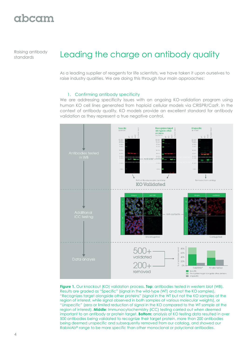# gbcgm

Raising antibody

### Raising antibody Leading the charge on antibody quality

As a leading supplier of reagents for life scientists, we have taken it upon ourselves to raise industry qualities. We are doing this through four main approaches:

#### 1. Confirming antibody specificity

We are addressing specificity issues with an ongoing KO-validation program using human KO cell lines generated from haploid cellular models via CRISPR/Cas9. In the context of antibody quality, KO models provide an excellent standard for antibody validation as they represent a true negative control.



**Figure 1.** Our knockout (KO) validation process. **Top**: antibodies tested in western blot (WB). Results are graded as "Specific" (signal in the wild-type (WT) and not the KO samples), "Recognizes target alongside other proteins" (signal in the WT but not the KO samples at the region of interest, while signal observed in both samples at various molecular weights), or "Unspecific" (zero or limited reduction of signal in the KO compared to the WT sample at the region of interest). **Middle**: Immunocytochemistry (ICC) testing carried out when deemed important to an antibody or protein target. **Bottom:** analysis of KO testing data resulted in over 500 antibodies being validated to recognize their target protein, more than 200 antibodies being deemed unspecific and subsequently removed from our catalog, and showed our RabMAb® range to be more specific than other monoclonal or polyclonal antibodies.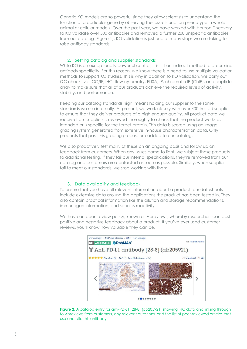Genetic KO models are so powerful since they allow scientists to understand the function of a particular gene by observing the loss-of-function phenotype in whole animal or cellular models. Over the past year, we have worked with Horizon Discovery to KO validate over 500 antibodies and removed a further 200 unspecific antibodies from our catalog (Figure 1). KO validation is just one of many steps we are taking to raise antibody standards.

#### 2. Setting catalog and supplier standards

While KO is an exceptionally powerful control, it is still an indirect method to determine antibody specificity. For this reason, we know there is a need to use multiple validation methods to support KO studies. This is why in addition to KO validation, we carry out QC checks via ICC/IF, IHC, flow cytometry, ELISA, IP, chromatin IP (ChIP), and peptide array to make sure that all of our products achieve the required levels of activity, stability, and performance.

Keeping our catalog standards high, means holding our supplier to the same standards we use internally. At present, we work closely with over 400 trusted suppliers to ensure that they deliver products of a high enough quality. All product data we receive from suppliers is reviewed thoroughly to check that the product works as intended or is specific for the target protein. This data is scored using an image grading system generated from extensive in-house characterization data. Only products that pass this grading process are added to our catalog.

We also proactively test many of these on an ongoing basis and follow up on feedback from customers. When any issues come to light, we subject those products to additional testing. If they fail our internal specifications, they're removed from our catalog and customers are contacted as soon as possible. Similarly, when suppliers fail to meet our standards, we stop working with them.

#### 3. Data availability and feedback

To ensure that you have all relevant information about a product, our datasheets include extensive data around the applications the product has been tested in. They also contain practical information like the dilution and storage recommendations, immunogen information, and species reactivity.

We have an open review policy, known as Abreviews, whereby researchers can post positive and negative feedback about a product. If you've ever used customer reviews, you'll know how valuable they can be.



**Figure 2**. A catalog entry for anti-PD-L1 [28-8] (ab205921) showing IHC data and linking through to Abreviews from customers, any relevant questions, and the list of peer-reviewed articles that use and cite this antibody.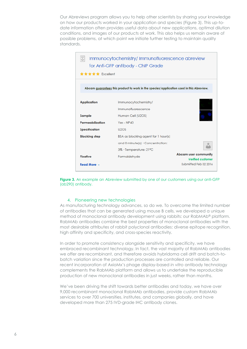Our Abreviews program allows you to help other scientists by sharing your knowledge on how our products worked in your application and species (Figure 3). This up-todate information often provides useful data about new applications, optimal dilution conditions, and images of our products at work. This also helps us remain aware of possible problems, at which point we initiate further testing to maintain quality standards.



**Figure 3.** An example an Abreview submitted by one of our customers using our anti-GFP (ab290) antibody.

#### 4. Pioneering new technologies

As manufacturing technology advances, so do we. To overcome the limited number of antibodies that can be generated using mouse B cells, we developed a unique method of monoclonal antibody development using rabbits: our RabMAb® platform. RabMAb antibodies combine the best properties of monoclonal antibodies with the most desirable attributes of rabbit polyclonal antibodies: diverse epitope recognition, high affinity and specificity, and cross-species reactivity.

In order to promote consistency alongside sensitivity and specificity, we have embraced recombinant technology. In fact, the vast majority of RabMAb antibodies we offer are recombinant, and therefore avoids hybridoma cell drift and batch-tobatch variation since the production processes are controlled and reliable. Our recent incorporation of AxioMx's phage display-based *in vitro* antibody technology complements the RabMAb platform and allows us to undertake the reproducible production of new monoclonal antibodies in just weeks, rather than months.

We've been driving the shift towards better antibodies and today, we have over 9,000 recombinant monoclonal RabMAb antibodies, provide custom RabMAb services to over 700 universities, institutes, and companies globally, and have developed more than 275 IVD-grade IHC antibody clones.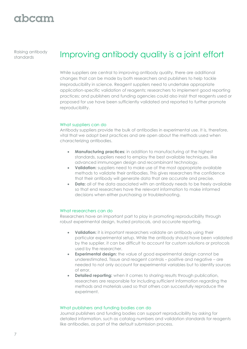Raising antibody

### Raising antibody Improving antibody quality is a joint effort

While suppliers are central to improving antibody quality, there are additional changes that can be made by both researchers and publishers to help tackle irreproducibility in science. Reagent suppliers need to undertake appropriate application-specific validation of reagents; researchers to implement good reporting practices; and publishers and funding agencies could also insist that reagents used or proposed for use have been sufficiently validated and reported to further promote reproducibility.

#### What suppliers can do

Antibody suppliers provide the bulk of antibodies in experimental use. It is, therefore, vital that we adopt best practices and are open about the methods used when characterizing antibodies.

- **Manufacturing practices:** in addition to manufacturing at the highest standards, suppliers need to employ the best available techniques, like advanced immunogen design and recombinant technology.
- **Validation:** suppliers need to make use of the most appropriate available methods to validate their antibodies. This gives researchers the confidence that their antibody will generate data that are accurate and precise.
- **Data:** all of the data associated with an antibody needs to be freely available so that end researchers have the relevant information to make informed decisions when either purchasing or troubleshooting.

#### What researchers can do

Researchers have an important part to play in promoting reproducibility through robust experimental design, trusted protocols, and accurate reporting.

- **Validation:** it is important researchers validate an antibody using their particular experimental setup. While the antibody should have been validated by the supplier, it can be difficult to account for custom solutions or protocols used by the researcher.
- **Experimental design:** the value of good experimental design cannot be underestimated. Tissue and reagent controls – positive and negative – are needed to not only account for experimental variables but to identify sources of error.
- **Detailed reporting:** when it comes to sharing results through publication, researchers are responsible for including sufficient information regarding the methods and materials used so that others can successfully reproduce the experiment.

#### What publishers and funding bodies can do

Journal publishers and funding bodies can support reproducibility by asking for detailed information, such as catalog numbers and validation standards for reagents like antibodies, as part of the default submission process.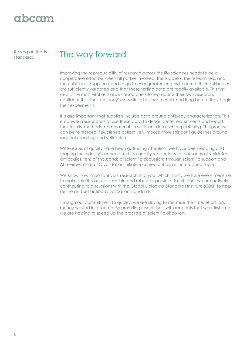Raising antibody

### Raising antibody The way forward

Improving the reproducibility of research across the life sciences needs to be a cooperative effort between all parties involved: the suppliers, the researchers, and the publishers. Suppliers need to go to ever greater lengths to ensure their antibodies are sufficiently validated and that these testing data are readily available. This first step is the most vital as it allows researchers to reproduce their own research, confident that their antibody's specificity has been confirmed long before they begin their experiments.

It is also important that suppliers include data around antibody characterization. This empowers researchers to use these data to design better experiments and report their results, methods, and materials in sufficient detail when publishing. This process can be reinforced if publishers collectively impose more stringent guidelines around reagent reporting and validation.

While issues of quality have been gathering attention, we have been leading and shaping the industry's concept of high-quality reagents: with thousands of validated antibodies, tens of thousands of scientific discussions through scientific support and Abreviews, and a KO validation initiative carried out on an unmatched scale.

We know how important your research is to you, which is why we take every measure to make sure it is as reproducible and robust as possible. To this end, we are actively contributing to discussions with the Global Biological Standards Institute (GBSI) to help define and set antibody validation standards.

Through our commitment to quality, we are striving to minimize the time, effort, and money wasted in research. By providing researchers with reagents that work first time, we are helping to speed up the progress of scientific discovery.